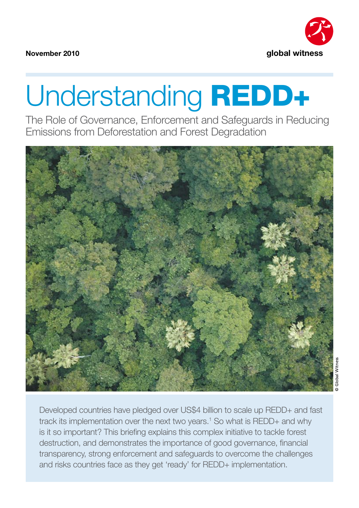

**November 2010**

# Understanding REDD+

The Role of Governance, Enforcement and Safeguards in Reducing Emissions from Deforestation and Forest Degradation



Developed countries have pledged over US\$4 billion to scale up REDD+ and fast track its implementation over the next two years.<sup>1</sup> So what is REDD+ and why is it so important? This briefing explains this complex initiative to tackle forest destruction, and demonstrates the importance of good governance, financial transparency, strong enforcement and safeguards to overcome the challenges and risks countries face as they get 'ready' for REDD+ implementation.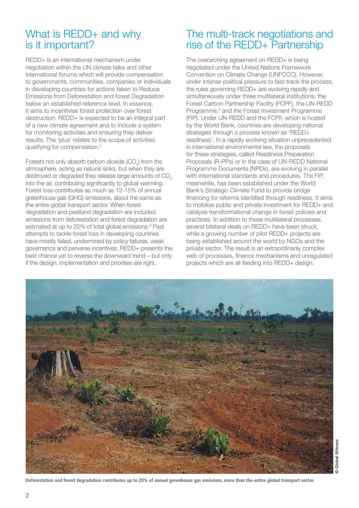## What is REDD+ and why is it important?

REDD+ is an international mechanism under negotiation within the UN climate talks and other international forums which will provide compensation to governments, communities, companies or individuals in developing countries for actions taken to Reduce Emissions from Deforestation and forest Degradation below an established reference level. In essence, it aims to incentivise forest protection over forest destruction. REDD+ is expected to be an integral part of a new climate agreement and to include a system for monitoring activities and ensuring they deliver results. The 'plus' relates to the scope of activities qualifying for compensation.2

Forests not only absorb carbon dioxide (CO<sub>2</sub>) from the atmosphere, acting as natural sinks, but when they are destroyed or degraded they release large amounts of CO<sub>2</sub> into the air, contributing significantly to global warming. Forest loss contributes as much as 12-15% of annual greenhouse gas (GHG) emissions, about the same as the entire global transport sector. When forest degradation and peatland degradation are included, emissions from deforestation and forest degradation are estimated at up to 20% of total global emissions.<sup>3</sup> Past attempts to tackle forest loss in developing countries have mostly failed, undermined by policy failures, weak governance and perverse incentives. REDD+ presents the best chance yet to reverse the downward trend – but only if the design, implementation and priorities are right.

## The multi-track negotiations and rise of the REDD+ Partnership

The overarching agreement on REDD+ is being negotiated under the United Nations Framework Convention on Climate Change (UNFCCC). However, under intense political pressure to fast-track the process, the rules governing REDD+ are evolving rapidly and simultaneously under three multilateral institutions; the Forest Carbon Partnership Facility (FCPF), the UN-REDD Programme,<sup>4</sup> and the Forest Investment Programme (FIP). Under UN-REDD and the FCPF, which is hosted by the World Bank, countries are developing national strategies through a process known as 'REDD+ readiness'. In a rapidly evolving situation unprecedented in international environmental law, the proposals for these strategies, called Readiness Preparation Proposals (R-PPs) or in the case of UN-REDD National Programme Documents (NPDs), are evolving in parallel with international standards and procedures. The FIP, meanwhile, has been established under the World Bank's Strategic Climate Fund to provide bridge financing for reforms identified through readiness. It aims to mobilise public and private investment for REDD+ and catalyse transformational change in forest policies and practices. In addition to these multilateral processes, several bilateral deals on REDD+ have been struck, while a growing number of pilot REDD+ projects are being established around the world by NGOs and the private sector. The result is an extraordinarily complex web of processes, finance mechanisms and unregulated projects which are all feeding into REDD+ design.

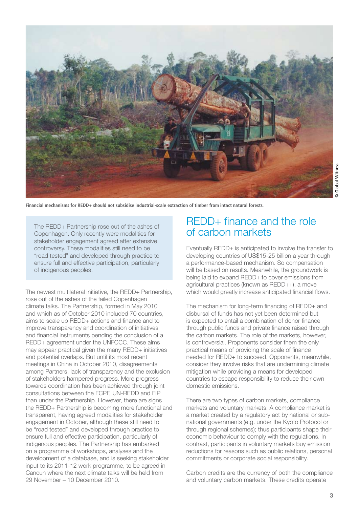

**Financial mechanisms for REDD+ should not subsidise industrial-scale extraction of timber from intact natural forests.**

The REDD+ Partnership rose out of the ashes of Copenhagen. Only recently were modalities for stakeholder engagement agreed after extensive controversy. These modalities still need to be "road tested" and developed through practice to ensure full and effective participation, particularly of indigenous peoples.

The newest multilateral initiative, the REDD+ Partnership, rose out of the ashes of the failed Copenhagen climate talks. The Partnership, formed in May 2010 and which as of October 2010 included 70 countries, aims to scale up REDD+ actions and finance and to improve transparency and coordination of initiatives and financial instruments pending the conclusion of a REDD+ agreement under the UNFCCC. These aims may appear practical given the many REDD+ initiatives and potential overlaps. But until its most recent meetings in China in October 2010, disagreements among Partners, lack of transparency and the exclusion of stakeholders hampered progress. More progress towards coordination has been achieved through joint consultations between the FCPF, UN-REDD and FIP than under the Partnership. However, there are signs the REDD+ Partnership is becoming more functional and transparent, having agreed modalities for stakeholder engagement in October, although these still need to be "road tested" and developed through practice to ensure full and effective participation, particularly of indigenous peoples. The Partnership has embarked on a programme of workshops, analyses and the development of a database, and is seeking stakeholder input to its 2011-12 work programme, to be agreed in Cancun where the next climate talks will be held from 29 November – 10 December 2010.

## REDD+ finance and the role of carbon markets

Eventually REDD+ is anticipated to involve the transfer to developing countries of US\$15-25 billion a year through a performance-based mechanism. So compensation will be based on results. Meanwhile, the groundwork is being laid to expand REDD+ to cover emissions from agricultural practices (known as REDD++), a move which would greatly increase anticipated financial flows.

The mechanism for long-term financing of REDD+ and disbursal of funds has not yet been determined but is expected to entail a combination of donor finance through public funds and private finance raised through the carbon markets. The role of the markets, however, is controversial. Proponents consider them the only practical means of providing the scale of finance needed for REDD+ to succeed. Opponents, meanwhile, consider they involve risks that are undermining climate mitigation while providing a means for developed countries to escape responsibility to reduce their own domestic emissions.

There are two types of carbon markets, compliance markets and voluntary markets. A compliance market is a market created by a regulatory act by national or subnational governments (e.g. under the Kyoto Protocol or through regional schemes); thus participants shape their economic behaviour to comply with the regulations. In contrast, participants in voluntary markets buy emission reductions for reasons such as public relations, personal commitments or corporate social responsibility.

Carbon credits are the currency of both the compliance and voluntary carbon markets. These credits operate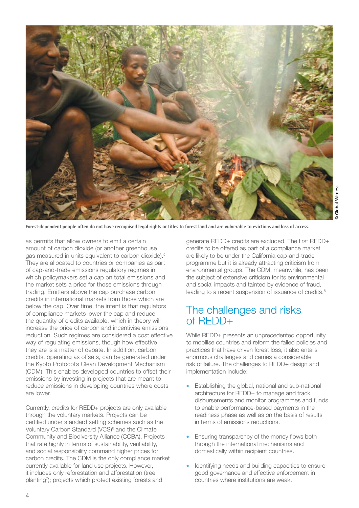

**Forest-dependent people often do not have recognised legal rights or titles to forest land and are vulnerable to evictions and loss of access.**

as permits that allow owners to emit a certain amount of carbon dioxide (or another greenhouse gas measured in units equivalent to carbon dioxide).5 They are allocated to countries or companies as part of cap-and-trade emissions regulatory regimes in which policymakers set a cap on total emissions and the market sets a price for those emissions through trading. Emitters above the cap purchase carbon credits in international markets from those which are below the cap. Over time, the intent is that regulators of compliance markets lower the cap and reduce the quantity of credits available, which in theory will increase the price of carbon and incentivise emissions reduction. Such regimes are considered a cost effective way of regulating emissions, though how effective they are is a matter of debate. In addition, carbon credits, operating as offsets, can be generated under the Kyoto Protocol's Clean Development Mechanism (CDM). This enables developed countries to offset their emissions by investing in projects that are meant to reduce emissions in developing countries where costs are lower.

Currently, credits for REDD+ projects are only available through the voluntary markets. Projects can be certified under standard setting schemes such as the Voluntary Carbon Standard (VCS)<sup>6</sup> and the Climate Community and Biodiversity Alliance (CCBA). Projects that rate highly in terms of sustainability, verifiability, and social responsibility command higher prices for carbon credits. The CDM is the only compliance market currently available for land use projects. However, it includes only reforestation and afforestation (tree planting7 ); projects which protect existing forests and

generate REDD+ credits are excluded. The first REDD+ credits to be offered as part of a compliance market are likely to be under the California cap-and-trade programme but it is already attracting criticism from environmental groups. The CDM, meanwhile, has been the subject of extensive criticism for its environmental and social impacts and tainted by evidence of fraud, leading to a recent suspension of issuance of credits.<sup>8</sup>

## The challenges and risks of REDD+

While REDD+ presents an unprecedented opportunity to mobilise countries and reform the failed policies and practices that have driven forest loss, it also entails enormous challenges and carries a considerable risk of failure. The challenges to REDD+ design and implementation include:

- Establishing the global, national and sub-national architecture for REDD+ to manage and track disbursements and monitor programmes and funds to enable performance-based payments in the readiness phase as well as on the basis of results in terms of emissions reductions.
- Ensuring transparency of the money flows both through the international mechanisms and domestically within recipient countries.
- Identifying needs and building capacities to ensure good governance and effective enforcement in countries where institutions are weak.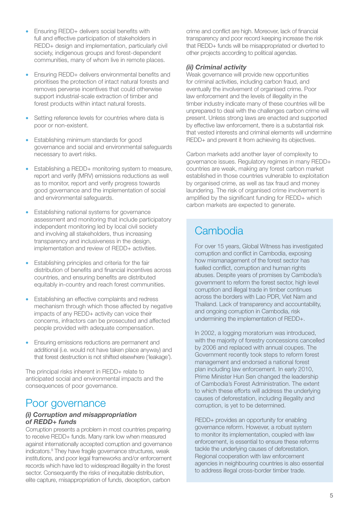- Ensuring REDD+ delivers social benefits with full and effective participation of stakeholders in REDD+ design and implementation, particularly civil society, indigenous groups and forest-dependent communities, many of whom live in remote places.
- Ensuring REDD+ delivers environmental benefits and prioritises the protection of intact natural forests and removes perverse incentives that could otherwise support industrial-scale extraction of timber and forest products within intact natural forests.
- Setting reference levels for countries where data is poor or non-existent.
- Establishing minimum standards for good governance and social and environmental safeguards necessary to avert risks.
- Establishing a REDD+ monitoring system to measure, report and verify (MRV) emissions reductions as well as to monitor, report and verify progress towards good governance and the implementation of social and environmental safeguards.
- Establishing national systems for governance assessment and monitoring that include participatory independent monitoring led by local civil society and involving all stakeholders, thus increasing transparency and inclusiveness in the design, implementation and review of REDD+ activities.
- Establishing principles and criteria for the fair distribution of benefits and financial incentives across countries, and ensuring benefits are distributed equitably in-country and reach forest communities.
- Establishing an effective complaints and redress mechanism through which those affected by negative impacts of any REDD+ activity can voice their concerns, infractors can be prosecuted and affected people provided with adequate compensation.
- Ensuring emissions reductions are permanent and additional (i.e. would not have taken place anyway) and that forest destruction is not shifted elsewhere ('leakage').

The principal risks inherent in REDD+ relate to anticipated social and environmental impacts and the consequences of poor governance.

## Poor governance

#### *(i) Corruption and misappropriation of REDD+ funds*

Corruption presents a problem in most countries preparing to receive REDD+ funds. Many rank low when measured against internationally accepted corruption and governance indicators.9 They have fragile governance structures, weak institutions, and poor legal frameworks and/or enforcement records which have led to widespread illegality in the forest sector. Consequently the risks of inequitable distribution, elite capture, misappropriation of funds, deception, carbon

crime and conflict are high. Moreover, lack of financial transparency and poor record keeping increase the risk that REDD+ funds will be misappropriated or diverted to other projects according to political agendas.

#### *(ii) Criminal activity*

Weak governance will provide new opportunities for criminal activities, including carbon fraud, and eventually the involvement of organised crime. Poor law enforcement and the levels of illegality in the timber industry indicate many of these countries will be unprepared to deal with the challenges carbon crime will present. Unless strong laws are enacted and supported by effective law enforcement, there is a substantial risk that vested interests and criminal elements will undermine REDD+ and prevent it from achieving its objectives.

Carbon markets add another layer of complexity to governance issues. Regulatory regimes in many REDD+ countries are weak, making any forest carbon market established in those countries vulnerable to exploitation by organised crime, as well as tax fraud and money laundering. The risk of organised crime involvement is amplified by the significant funding for REDD+ which carbon markets are expected to generate.

# **Cambodia**

For over 15 years, Global Witness has investigated corruption and conflict in Cambodia, exposing how mismanagement of the forest sector has fuelled conflict, corruption and human rights abuses. Despite years of promises by Cambodia's government to reform the forest sector, high level corruption and illegal trade in timber continues across the borders with Lao PDR, Viet Nam and Thailand. Lack of transparency and accountability, and ongoing corruption in Cambodia, risk undermining the implementation of REDD+.

In 2002, a logging moratorium was introduced, with the majority of forestry concessions cancelled by 2006 and replaced with annual coupes. The Government recently took steps to reform forest management and endorsed a national forest plan including law enforcement. In early 2010, Prime Minister Hun Sen changed the leadership of Cambodia's Forest Administration. The extent to which these efforts will address the underlying causes of deforestation, including illegality and corruption, is yet to be determined.

REDD+ provides an opportunity for enabling governance reform. However, a robust system to monitor its implementation, coupled with law enforcement, is essential to ensure these reforms tackle the underlying causes of deforestation. Regional cooperation with law enforcement agencies in neighbouring countries is also essential to address illegal cross-border timber trade.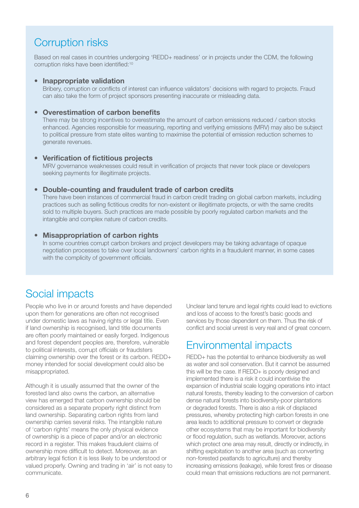# Corruption risks

Based on real cases in countries undergoing 'REDD+ readiness' or in projects under the CDM, the following corruption risks have been identified:10

#### **• Inappropriate validation**

Bribery, corruption or conflicts of interest can influence validators' decisions with regard to projects. Fraud can also take the form of project sponsors presenting inaccurate or misleading data.

#### **• Overestimation of carbon benefits**

There may be strong incentives to overestimate the amount of carbon emissions reduced / carbon stocks enhanced. Agencies responsible for measuring, reporting and verifying emissions (MRV) may also be subject to political pressure from state elites wanting to maximise the potential of emission reduction schemes to generate revenues.

#### **• Verification of fictitious projects**

MRV governance weaknesses could result in verification of projects that never took place or developers seeking payments for illegitimate projects.

#### **• Double-counting and fraudulent trade of carbon credits**

There have been instances of commercial fraud in carbon credit trading on global carbon markets, including practices such as selling fictitious credits for non-existent or illegitimate projects, or with the same credits sold to multiple buyers. Such practices are made possible by poorly regulated carbon markets and the intangible and complex nature of carbon credits.

#### **• Misappropriation of carbon rights**

In some countries corrupt carbon brokers and project developers may be taking advantage of opaque negotiation processes to take over local landowners' carbon rights in a fraudulent manner, in some cases with the complicity of government officials.

## Social impacts

People who live in or around forests and have depended upon them for generations are often not recognised under domestic laws as having rights or legal title. Even if land ownership is recognised, land title documents are often poorly maintained or easily forged. Indigenous and forest dependent peoples are, therefore, vulnerable to political interests, corrupt officials or fraudsters claiming ownership over the forest or its carbon. REDD+ money intended for social development could also be misappropriated.

Although it is usually assumed that the owner of the forested land also owns the carbon, an alternative view has emerged that carbon ownership should be considered as a separate property right distinct from land ownership. Separating carbon rights from land ownership carries several risks. The intangible nature of 'carbon rights' means the only physical evidence of ownership is a piece of paper and/or an electronic record in a register. This makes fraudulent claims of ownership more difficult to detect. Moreover, as an arbitrary legal fiction it is less likely to be understood or valued properly. Owning and trading in 'air' is not easy to communicate.

Unclear land tenure and legal rights could lead to evictions and loss of access to the forest's basic goods and services by those dependent on them. Thus the risk of conflict and social unrest is very real and of great concern.

## Environmental impacts

REDD+ has the potential to enhance biodiversity as well as water and soil conservation. But it cannot be assumed this will be the case. If REDD+ is poorly designed and implemented there is a risk it could incentivise the expansion of industrial scale logging operations into intact natural forests, thereby leading to the conversion of carbon dense natural forests into biodiversity-poor plantations or degraded forests. There is also a risk of displaced pressures, whereby protecting high carbon forests in one area leads to additional pressure to convert or degrade other ecosystems that may be important for biodiversity or flood regulation, such as wetlands. Moreover, actions which protect one area may result, directly or indirectly, in shifting exploitation to another area (such as converting non-forested peatlands to agriculture) and thereby increasing emissions (leakage), while forest fires or disease could mean that emissions reductions are not permanent.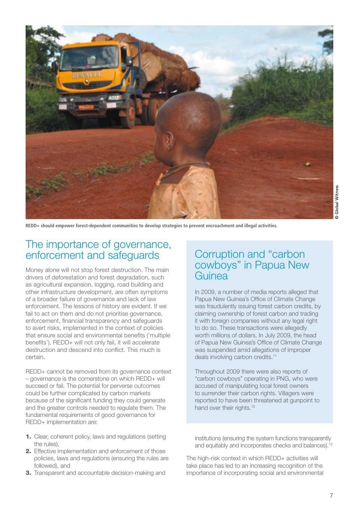

**REDD+ should empower forest-dependent communities to develop strategies to prevent encroachment and illegal activities.**

## The importance of governance, enforcement and safeguards

Money alone will not stop forest destruction. The main drivers of deforestation and forest degradation, such as agricultural expansion, logging, road building and other infrastructure development, are often symptoms of a broader failure of governance and lack of law enforcement. The lessons of history are evident. If we fail to act on them and do not prioritise governance, enforcement, financial transparency and safeguards to avert risks, implemented in the context of policies that ensure social and environmental benefits ('multiple benefits'), REDD+ will not only fail, it will accelerate destruction and descend into conflict. This much is certain.

REDD+ cannot be removed from its governance context – governance is the cornerstone on which REDD+ will succeed or fail. The potential for perverse outcomes could be further complicated by carbon markets because of the significant funding they could generate and the greater controls needed to regulate them. The fundamental requirements of good governance for REDD+ implementation are:

- 1. Clear, coherent policy, laws and regulations (setting the rules),
- 2. Effective implementation and enforcement of those policies, laws and regulations (ensuring the rules are followed), and
- **3.** Transparent and accountable decision-making and

## Corruption and "carbon cowboys" in Papua New Guinea

In 2009, a number of media reports alleged that Papua New Guinea's Office of Climate Change was fraudulently issuing forest carbon credits, by claiming ownership of forest carbon and trading it with foreign companies without any legal right to do so. These transactions were allegedly worth millions of dollars. In July 2009, the head of Papua New Guinea's Office of Climate Change was suspended amid allegations of improper deals involving carbon credits.<sup>11</sup>

Throughout 2009 there were also reports of "carbon cowboys" operating in PNG, who were accused of manipulating local forest owners to surrender their carbon rights. Villagers were reported to have been threatened at gunpoint to hand over their rights.<sup>12</sup>

institutions (ensuring the system functions transparently and equitably and incorporates checks and balances).<sup>13</sup>

The high-risk context in which REDD+ activities will take place has led to an increasing recognition of the importance of incorporating social and environmental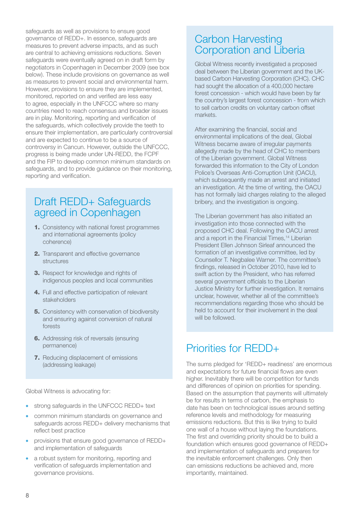safeguards as well as provisions to ensure good governance of REDD+. In essence, safeguards are measures to prevent adverse impacts, and as such are central to achieving emissions reductions. Seven safeguards were eventually agreed on in draft form by negotiators in Copenhagen in December 2009 (see box below). These include provisions on governance as well as measures to prevent social and environmental harm. However, provisions to ensure they are implemented, monitored, reported on and verified are less easy to agree, especially in the UNFCCC where so many countries need to reach consensus and broader issues are in play. Monitoring, reporting and verification of the safeguards, which collectively provide the teeth to ensure their implementation, are particularly controversial and are expected to continue to be a source of controversy in Cancun. However, outside the UNFCCC, progress is being made under UN-REDD, the FCPF and the FIP to develop common minimum standards on safeguards, and to provide guidance on their monitoring, reporting and verification.

## Draft REDD+ Safeguards agreed in Copenhagen

- 1. Consistency with national forest programmes and international agreements (policy coherence)
- 2. Transparent and effective governance structures
- 3. Respect for knowledge and rights of indigenous peoples and local communities
- 4. Full and effective participation of relevant stakeholders
- **5.** Consistency with conservation of biodiversity and ensuring against conversion of natural forests
- 6. Addressing risk of reversals (ensuring permanence)
- **7.** Reducing displacement of emissions (addressing leakage)

Global Witness is advocating for:

- strong safeguards in the UNFCCC REDD+ text
- common minimum standards on governance and safeguards across REDD+ delivery mechanisms that reflect best practice
- provisions that ensure good governance of REDD+ and implementation of safeguards
- a robust system for monitoring, reporting and verification of safeguards implementation and governance provisions.

# Carbon Harvesting Corporation and Liberia

Global Witness recently investigated a proposed deal between the Liberian government and the UKbased Carbon Harvesting Corporation (CHC). CHC had sought the allocation of a 400,000 hectare forest concession - which would have been by far the country's largest forest concession - from which to sell carbon credits on voluntary carbon offset markets.

After examining the financial, social and environmental implications of the deal, Global Witness became aware of irregular payments allegedly made by the head of CHC to members of the Liberian government. Global Witness forwarded this information to the City of London Police's Overseas Anti-Corruption Unit (OACU), which subsequently made an arrest and initiated an investigation. At the time of writing, the OACU has not formally laid charges relating to the alleged bribery, and the investigation is ongoing.

The Liberian government has also initiated an investigation into those connected with the proposed CHC deal. Following the OACU arrest and a report in the Financial Times,<sup>14</sup> Liberian President Ellen Johnson Sirleaf announced the formation of an investigative committee, led by Counsellor T. Negbalee Warner. The committee's findings, released in October 2010, have led to swift action by the President, who has referred several government officials to the Liberian Justice Ministry for further investigation. It remains unclear, however, whether all of the committee's recommendations regarding those who should be held to account for their involvement in the deal will be followed.

# Priorities for REDD+

The sums pledged for 'REDD+ readiness' are enormous and expectations for future financial flows are even higher. Inevitably there will be competition for funds and differences of opinion on priorities for spending. Based on the assumption that payments will ultimately be for results in terms of carbon, the emphasis to date has been on technological issues around setting reference levels and methodology for measuring emissions reductions. But this is like trying to build one wall of a house without laying the foundations. The first and overriding priority should be to build a foundation which ensures good governance of REDD+ and implementation of safeguards and prepares for the inevitable enforcement challenges. Only then can emissions reductions be achieved and, more importantly, maintained.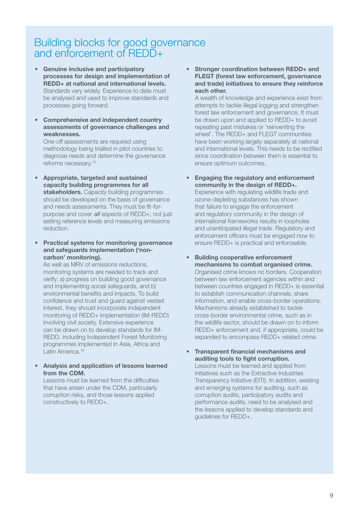## Building blocks for good governance and enforcement of REDD+

- **• Genuine inclusive and participatory processes for design and implementation of REDD+ at national and international levels.**  Standards vary widely. Experience to date must be analysed and used to improve standards and processes going forward.
- **• Comprehensive and independent country assessments of governance challenges and weaknesses.**

One-off assessments are required using methodology being trialled in pilot countries to diagnose needs and determine the governance reforms necessary.15

- **• Appropriate, targeted and sustained capacity building programmes for all stakeholders.** Capacity building programmes should be developed on the basis of governance and needs assessments. They must be fit-forpurpose and cover *all* aspects of REDD+, not just setting reference levels and measuring emissions reduction.
- **• Practical systems for monitoring governance and safeguards implementation ('noncarbon' monitoring).**

As well as MRV of emissions reductions, monitoring systems are needed to track and verify: a) progress on building good governance and implementing social safeguards, and b) environmental benefits and impacts. To build confidence and trust and guard against vested interest, they should incorporate independent monitoring of REDD+ implementation (IM-REDD) involving civil society. Extensive experience can be drawn on to develop standards for IM-REDD, including Independent Forest Monitoring programmes implemented in Asia, Africa and Latin America.<sup>16</sup>

**• Analysis and application of lessons learned from the CDM.** 

Lessons must be learned from the difficulties that have arisen under the CDM, particularly corruption risks, and those lessons applied constructively to REDD+.

**• Stronger coordination between REDD+ and FLEGT (forest law enforcement, governance and trade) initiatives to ensure they reinforce each other.**

A wealth of knowledge and experience exist from attempts to tackle illegal logging and strengthen forest law enforcement and governance. It must be drawn upon and applied to REDD+ to avoid repeating past mistakes or 'reinventing the wheel'. The REDD+ and FLEGT communities have been working largely separately at national and international levels. This needs to be rectified since coordination between them is essential to ensure optimum outcomes.

**• Engaging the regulatory and enforcement community in the design of REDD+.**

Experience with regulating wildlife trade and ozone-depleting substances has shown that failure to engage the enforcement and regulatory community in the design of international frameworks results in loopholes and unanticipated illegal trade. Regulatory and enforcement officers must be engaged now to ensure REDD+ is practical and enforceable.

- **• Building cooperative enforcement mechanisms to combat organised crime.**  Organised crime knows no borders. Cooperation between law enforcement agencies within and between countries engaged in REDD+ is essential to establish communication channels, share information, and enable cross-border operations. Mechanisms already established to tackle cross-border environmental crime, such as in the wildlife sector, should be drawn on to inform REDD+ enforcement and, if appropriate, could be expanded to encompass REDD+ related crime.
- **• Transparent financial mechanisms and auditing tools to fight corruption.**

Lessons must be learned and applied from initiatives such as the Extractive Industries Transparency Initiative (EITI). In addition, existing and emerging systems for auditing, such as corruption audits, participatory audits and performance audits, need to be analysed and the lessons applied to develop standards and guidelines for REDD+.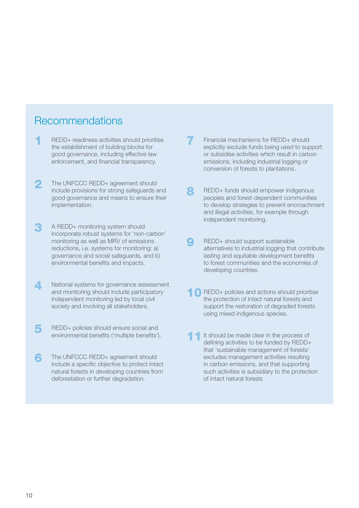## Recommendations

- REDD+ readiness activities should prioritise the establishment of building blocks for good governance, including effective law enforcement, and financial transparency.
- **2** The UNFCCC REDD+ agreement should include provisions for strong safeguards and good governance and means to ensure their implementation.
- 3 A REDD+ monitoring system should incorporate robust systems for 'non-carbon' monitoring as well as MRV of emissions reductions, i.e. systems for monitoring: a) governance and social safeguards, and b) environmental benefits and impacts.
- A National systems for governance assessment and monitoring should include participatory independent monitoring led by local civil society and involving all stakeholders.
- **5** REDD+ policies should ensure social and environmental benefits ('multiple benefits').
- **6** The UNFCCC REDD+ agreement should include a specific objective to protect intact natural forests in developing countries from deforestation or further degradation.
- Financial mechanisms for REDD+ should explicitly exclude funds being used to support or subsidise activities which result in carbon emissions, including industrial logging or conversion of forests to plantations.
- 8 REDD+ funds should empower indigenous peoples and forest-dependent communities to develop strategies to prevent encroachment and illegal activities, for example through independent monitoring.
- REDD+ should support sustainable alternatives to industrial logging that contribute lasting and equitable development benefits to forest communities and the economies of developing countries.
- **1** REDD+ policies and actions should prioritise the protection of intact natural forests and support the restoration of degraded forests using mixed indigenous species.
- It should be made clear in the process of defining activities to be funded by REDD+ that 'sustainable management of forests' excludes management activities resulting in carbon emissions, and that supporting such activities is subsidiary to the protection of intact natural forests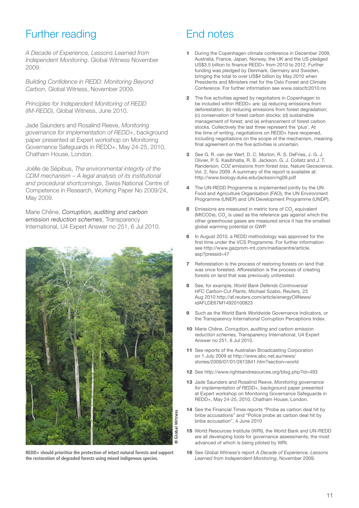# Further reading

*A Decade of Experience, Lessons Learned from Independent Monitoring*. Global Witness November 2009.

*Building Confidence in REDD: Monitoring Beyond Carbon*, Global Witness, November 2009.

*Principles for Independent Monitoring of REDD (IM-REDD)*, Global Witness, June 2010.

Jade Saunders and Rosalind Reeve, *Monitoring governance for implementation of REDD+*, background paper presented at Expert workshop on Monitoring Governance Safeguards in REDD+, May 24-25, 2010, Chatham House, London.

Joëlle de Sépibus, *The environmental integrity of the CDM mechanism – A legal analysis of its institutional and procedural shortcomings*, Swiss National Centre of Competence in Research, Working Paper No 2009/24, May 2009.

Marie Chêne, *Corruption, auditing and carbon emission reduction schemes*, Transparency International, U4 Expert Answer no 251, 6 Jul 2010.



**REDD+ should prioritise the protection of intact natural forests and support the restoration of degraded forests using mixed indigenous species.**

# End notes

- During the Copenhagen climate conference in December 2009, Australia, France, Japan, Norway, the UK and the US pledged US\$3.5 billion to finance REDD+ from 2010 to 2012. Further funding was pledged by Denmark, Germany and Sweden, bringing the total to over US\$4 billion by May 2010 when Presidents and Ministers met for the Oslo Forest and Climate Conference. For further information see www.oslocfc2010.no
- The five activities agreed by negotiators in Copenhagen to be included within REDD+ are: (a) reducing emissions from deforestation; (b) reducing emissions from forest degradation; (c) conservation of forest carbon stocks; (d) sustainable management of forest; and (e) enhancement of forest carbon stocks. Collectively the last three represent the 'plus'. At the time of writing, negotiations on REDD+ have reopened, including negotiations on the scope of the mechanism, meaning final agreement on the five activities is uncertain.
- See G. R. van der Werf, D. C. Morton, R. S. DeFries, J. G. J. Olivier, P. S. Kasibhatla, R. B. Jackson, G. J. Collatz and J. T. Randerson, *CO2 emissions from forest loss*, Nature Geoscience, Vol. 2, Nov 2009. A summary of the report is available at: http://www.biology.duke.edu/jackson/ng09.pdf
- The UN-REDD Programme is implemented jointly by the UN Food and Agriculture Organisation (FAO), the UN Environment Programme (UNEP) and UN Development Programme (UNDP).
- 5 Emissions are measured in metric tons of CO<sub>2</sub> equivalent (MtCO2e). CO<sub>2</sub> is used as the reference gas against which the other greenhouse gases are measured since it has the smallest global warming potential or GWP.
- In August 2010, a REDD methodology was approved for the first time under the VCS Programme. For further information see http://www.gazprom-mt.com/mediacentre/article. asp?pressid=47
- **7** Reforestation is the process of restoring forests on land that was once forested. Afforestation is the process of creating forests on land that was previously unforested.
- 8 See, for example, *World Bank Defends Controversial HFC Carbon-Cut Plants*, Michael Szabo, Reuters, 23 Aug 2010 http://af.reuters.com/article/energyOilNews/ idAFLDE67M14920100823
- Such as the World Bank Worldwide Governance Indicators, or the Transparency International Corruption Perceptions Index.
- 10 Marie Chêne, *Corruption, auditing and carbon emission reduction schemes,* Transparency International, U4 Expert Answer no 251, 6 Jul 2010.
- 11 See reports of the Australian Broadcasting Corporation on 1 July 2009 at http://www.abc.net.au/news/ stories/2009/07/01/2613841.htm?section=world
- 12 See http://www.rightsandresources.org/blog.php?id=493
- 13 Jade Saunders and Rosalind Reeve, *Monitoring governance for implementation of REDD+*, background paper presented at Expert workshop on Monitoring Governance Safeguards in REDD+, May 24-25, 2010, Chatham House, London.
- 14 See the Financial Times reports "Probe as carbon deal hit by bribe accusations" and "Police probe as carbon deal hit by bribe accusation", 4 June 2010
- 15 World Resources Institute (WRI), the World Bank and UN-REDD are all developing tools for governance assessments, the most advanced of which is being piloted by WRI.
- 16 See Global Witness's report *A Decade of Experience, Lessons Learned from Independent Monitoring*, November 2009.